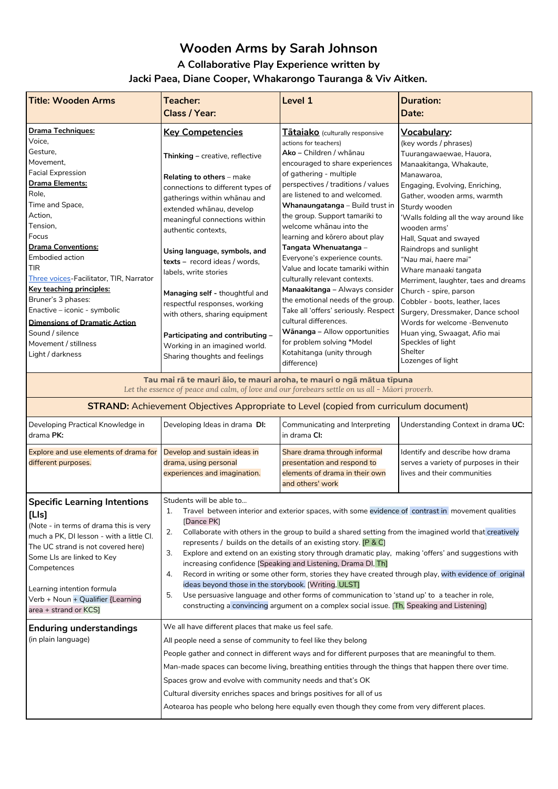# **Wooden Arms by Sarah Johnson A Collaborative Play Experience written by Jacki Paea, Diane Cooper, Whakarongo Tauranga & Viv Aitken.**

| Drama Techniques:<br><b>Key Competencies</b><br>Tātaiako (culturally responsive<br><u>Vocabulary:</u><br>Voice,<br>actions for teachers)<br>(key words / phrases)<br>Gesture,<br>Ako – Children / whānau<br>Tuurangawaewae, Hauora,<br>Thinking - creative, reflective<br>Movement.<br>encouraged to share experiences<br>Manaakitanga, Whakaute,<br><b>Facial Expression</b><br>of gathering - multiple<br>Manawaroa.<br><b>Relating to others</b> – make<br><b>Drama Elements:</b><br>perspectives / traditions / values<br>Engaging, Evolving, Enriching,<br>connections to different types of<br>Role,<br>are listened to and welcomed.<br>Gather, wooden arms, warmth<br>gatherings within whanau and<br>Time and Space,<br>Whanaungatanga - Build trust in<br>Sturdy wooden<br>extended whānau, develop<br>Action,<br>the group. Support tamariki to<br>'Walls folding all the way around like<br>meaningful connections within<br>Tension,<br>welcome whanau into the<br>wooden arms'<br>authentic contexts,<br>Focus<br>learning and korero about play<br>Hall, Squat and swayed<br><b>Drama Conventions:</b><br>Tangata Whenuatanga –<br>Raindrops and sunlight<br>Using language, symbols, and<br>Embodied action<br>Everyone's experience counts.<br>"Nau mai, haere mai"<br>texts - record ideas / words.<br>TIR<br>Value and locate tamariki within<br>Whare manaaki tangata<br>labels, write stories<br>Three voices-Facilitator, TIR, Narrator<br>culturally relevant contexts.<br>Key teaching principles:<br>Manaakitanga – Always consider<br>Church - spire, parson<br>Managing self - thoughtful and<br>Bruner's 3 phases:<br>the emotional needs of the group.<br>Cobbler - boots, leather, laces<br>respectful responses, working<br>Enactive - iconic - symbolic<br>Take all 'offers' seriously. Respect<br>Surgery, Dressmaker, Dance school<br>with others, sharing equipment<br>cultural differences.<br><b>Dimensions of Dramatic Action</b><br>Words for welcome -Benvenuto<br>Wānanga – Allow opportunities<br>Sound / silence<br>Huan ying, Swaagat, Afio mai<br>Participating and contributing -<br>for problem solving *Model<br>Speckles of light<br>Movement / stillness<br>Working in an imagined world.<br>Shelter<br>Kotahitanga (unity through<br>Light / darkness<br>Sharing thoughts and feelings<br>Lozenges of light | <b>Title: Wooden Arms</b> | Teacher:<br>Class / Year: | Level 1     | <b>Duration:</b><br>Date:            |
|----------------------------------------------------------------------------------------------------------------------------------------------------------------------------------------------------------------------------------------------------------------------------------------------------------------------------------------------------------------------------------------------------------------------------------------------------------------------------------------------------------------------------------------------------------------------------------------------------------------------------------------------------------------------------------------------------------------------------------------------------------------------------------------------------------------------------------------------------------------------------------------------------------------------------------------------------------------------------------------------------------------------------------------------------------------------------------------------------------------------------------------------------------------------------------------------------------------------------------------------------------------------------------------------------------------------------------------------------------------------------------------------------------------------------------------------------------------------------------------------------------------------------------------------------------------------------------------------------------------------------------------------------------------------------------------------------------------------------------------------------------------------------------------------------------------------------------------------------------------------------------------------------------------------------------------------------------------------------------------------------------------------------------------------------------------------------------------------------------------------------------------------------------------------------------------------------------------------------------------------------------------------------------------------------------------------------------------------------------------|---------------------------|---------------------------|-------------|--------------------------------------|
|                                                                                                                                                                                                                                                                                                                                                                                                                                                                                                                                                                                                                                                                                                                                                                                                                                                                                                                                                                                                                                                                                                                                                                                                                                                                                                                                                                                                                                                                                                                                                                                                                                                                                                                                                                                                                                                                                                                                                                                                                                                                                                                                                                                                                                                                                                                                                                |                           |                           |             | Merriment, laughter, taes and dreams |
|                                                                                                                                                                                                                                                                                                                                                                                                                                                                                                                                                                                                                                                                                                                                                                                                                                                                                                                                                                                                                                                                                                                                                                                                                                                                                                                                                                                                                                                                                                                                                                                                                                                                                                                                                                                                                                                                                                                                                                                                                                                                                                                                                                                                                                                                                                                                                                |                           |                           | difference) |                                      |

**Tau mai rā te mauri āio, te mauri aroha, te mauri o ngā mātua tīpuna** Let the essence of peace and calm, of love and our forebears settle on us all - Māori proverb.

| <b>STRAND:</b> Achievement Objectives Appropriate to Level (copied from curriculum document)                                                                                                                                                                                                                      |                                                                                                                                                                                                                                                                                                                                                                                                                                                                                                                                                                              |                                                                                                                                                                                                                                                                                                                                                                                                                                                                                                                                                                                                                                                                                                                                                                                                                         |                                                                                                         |
|-------------------------------------------------------------------------------------------------------------------------------------------------------------------------------------------------------------------------------------------------------------------------------------------------------------------|------------------------------------------------------------------------------------------------------------------------------------------------------------------------------------------------------------------------------------------------------------------------------------------------------------------------------------------------------------------------------------------------------------------------------------------------------------------------------------------------------------------------------------------------------------------------------|-------------------------------------------------------------------------------------------------------------------------------------------------------------------------------------------------------------------------------------------------------------------------------------------------------------------------------------------------------------------------------------------------------------------------------------------------------------------------------------------------------------------------------------------------------------------------------------------------------------------------------------------------------------------------------------------------------------------------------------------------------------------------------------------------------------------------|---------------------------------------------------------------------------------------------------------|
| Developing Practical Knowledge in<br>drama PK:                                                                                                                                                                                                                                                                    | Developing Ideas in drama DI:                                                                                                                                                                                                                                                                                                                                                                                                                                                                                                                                                | Communicating and Interpreting<br>in drama CI:                                                                                                                                                                                                                                                                                                                                                                                                                                                                                                                                                                                                                                                                                                                                                                          | Understanding Context in drama UC:                                                                      |
| Explore and use elements of drama for<br>different purposes.                                                                                                                                                                                                                                                      | Develop and sustain ideas in<br>drama, using personal<br>experiences and imagination.                                                                                                                                                                                                                                                                                                                                                                                                                                                                                        | Share drama through informal<br>presentation and respond to<br>elements of drama in their own<br>and others' work                                                                                                                                                                                                                                                                                                                                                                                                                                                                                                                                                                                                                                                                                                       | Identify and describe how drama<br>serves a variety of purposes in their<br>lives and their communities |
| <b>Specific Learning Intentions</b><br>[Lls]<br>(Note - in terms of drama this is very<br>much a PK, DI lesson - with a little CI.<br>The UC strand is not covered here)<br>Some LIs are linked to Key<br>Competences<br>Learning intention formula<br>Verb + Noun + Qualifier {Learning<br>area + strand or KCS] | Students will be able to<br>1.<br>[Dance PK]<br>2.<br>3.<br>4.<br>5.                                                                                                                                                                                                                                                                                                                                                                                                                                                                                                         | Travel between interior and exterior spaces, with some evidence of contrast in movement qualities<br>Collaborate with others in the group to build a shared setting from the imagined world that creatively<br>represents / builds on the details of an existing story. [P & C]<br>Explore and extend on an existing story through dramatic play, making 'offers' and suggestions with<br>increasing confidence [Speaking and Listening, Drama DI, Th]<br>Record in writing or some other form, stories they have created through play, with evidence of original<br>ideas beyond those in the storybook. [Writing, ULST]<br>Use persuasive language and other forms of communication to 'stand up' to a teacher in role,<br>constructing a convincing argument on a complex social issue. [Th, Speaking and Listening] |                                                                                                         |
| <b>Enduring understandings</b><br>(in plain language)                                                                                                                                                                                                                                                             | We all have different places that make us feel safe.<br>All people need a sense of community to feel like they belong<br>People gather and connect in different ways and for different purposes that are meaningful to them.<br>Man-made spaces can become living, breathing entities through the things that happen there over time.<br>Spaces grow and evolve with community needs and that's OK<br>Cultural diversity enriches spaces and brings positives for all of us<br>Aotearoa has people who belong here equally even though they come from very different places. |                                                                                                                                                                                                                                                                                                                                                                                                                                                                                                                                                                                                                                                                                                                                                                                                                         |                                                                                                         |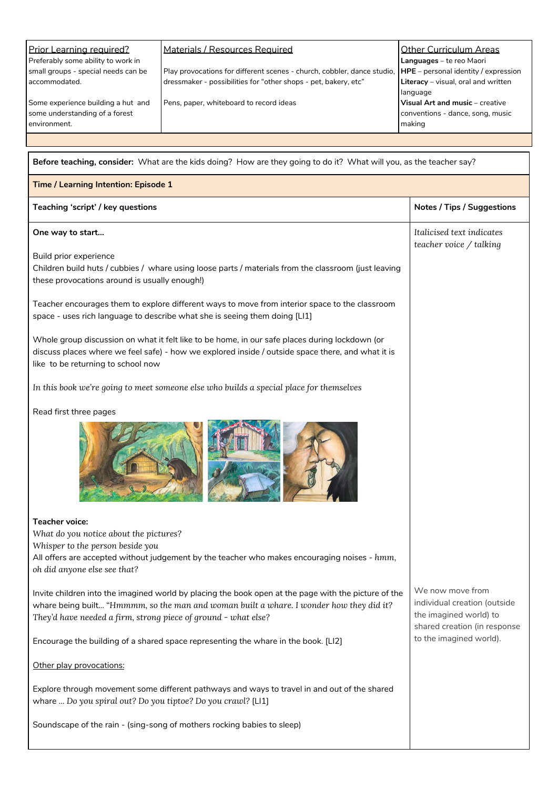| Prior Learning required?            | Materials / Resources Required                                          | <b>Other Curriculum Areas</b>          |
|-------------------------------------|-------------------------------------------------------------------------|----------------------------------------|
| Preferably some ability to work in  |                                                                         | Languages - te reo Maori               |
| small groups - special needs can be | Play provocations for different scenes - church, cobbler, dance studio, | $HPE$ – personal identity / expression |
| accommodated.                       | dressmaker - possibilities for "other shops - pet, bakery, etc"         | Literacy - visual, oral and written    |
|                                     |                                                                         | language                               |
| Some experience building a hut and  | Pens, paper, whiteboard to record ideas                                 | Visual Art and music - creative        |
| some understanding of a forest      |                                                                         | conventions - dance, song, music       |
| environment.                        |                                                                         | making                                 |
|                                     |                                                                         |                                        |
|                                     |                                                                         |                                        |

| Before teaching, consider: What are the kids doing? How are they going to do it? What will you, as the teacher say?                                                                                                                                               |                                                                                                            |  |  |
|-------------------------------------------------------------------------------------------------------------------------------------------------------------------------------------------------------------------------------------------------------------------|------------------------------------------------------------------------------------------------------------|--|--|
| Time / Learning Intention: Episode 1                                                                                                                                                                                                                              |                                                                                                            |  |  |
| Teaching 'script' / key questions                                                                                                                                                                                                                                 | <b>Notes / Tips / Suggestions</b>                                                                          |  |  |
| One way to start                                                                                                                                                                                                                                                  | Italicised text indicates<br>teacher voice / talking                                                       |  |  |
| Build prior experience<br>Children build huts / cubbies / whare using loose parts / materials from the classroom (just leaving<br>these provocations around is usually enough!)                                                                                   |                                                                                                            |  |  |
| Teacher encourages them to explore different ways to move from interior space to the classroom<br>space - uses rich language to describe what she is seeing them doing [LI1]                                                                                      |                                                                                                            |  |  |
| Whole group discussion on what it felt like to be home, in our safe places during lockdown (or<br>discuss places where we feel safe) - how we explored inside / outside space there, and what it is<br>like to be returning to school now                         |                                                                                                            |  |  |
| In this book we're going to meet someone else who builds a special place for themselves                                                                                                                                                                           |                                                                                                            |  |  |
| Read first three pages                                                                                                                                                                                                                                            |                                                                                                            |  |  |
|                                                                                                                                                                                                                                                                   |                                                                                                            |  |  |
| <b>Teacher voice:</b>                                                                                                                                                                                                                                             |                                                                                                            |  |  |
| What do you notice about the pictures?<br>Whisper to the person beside you                                                                                                                                                                                        |                                                                                                            |  |  |
| All offers are accepted without judgement by the teacher who makes encouraging noises - hmm,<br>oh did anyone else see that?                                                                                                                                      |                                                                                                            |  |  |
| Invite children into the imagined world by placing the book open at the page with the picture of the<br>whare being built "Hmmmm, so the man and woman built a whare. I wonder how they did it?<br>They'd have needed a firm, strong piece of ground - what else? | We now move from<br>individual creation (outside<br>the imagined world) to<br>shared creation (in response |  |  |
| Encourage the building of a shared space representing the whare in the book. [LI2]                                                                                                                                                                                | to the imagined world).                                                                                    |  |  |
| Other play provocations:                                                                                                                                                                                                                                          |                                                                                                            |  |  |
| Explore through movement some different pathways and ways to travel in and out of the shared<br>whare  Do you spiral out? Do you tiptoe? Do you crawl? [LI1]                                                                                                      |                                                                                                            |  |  |
| Soundscape of the rain - (sing-song of mothers rocking babies to sleep)                                                                                                                                                                                           |                                                                                                            |  |  |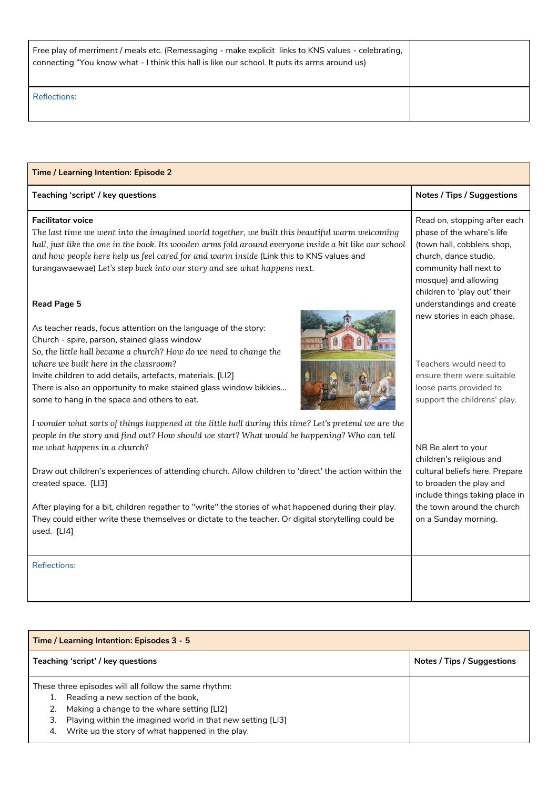| Free play of merriment / meals etc. (Remessaging - make explicit links to KNS values - celebrating,<br>connecting "You know what - I think this hall is like our school. It puts its arms around us) |  |
|------------------------------------------------------------------------------------------------------------------------------------------------------------------------------------------------------|--|
| <b>Reflections:</b>                                                                                                                                                                                  |  |

| Time / Learning Intention: Episode 2                                                                                                                                                                                                                                                                                                                                                                        |                                                                                                                                                                                                    |  |  |
|-------------------------------------------------------------------------------------------------------------------------------------------------------------------------------------------------------------------------------------------------------------------------------------------------------------------------------------------------------------------------------------------------------------|----------------------------------------------------------------------------------------------------------------------------------------------------------------------------------------------------|--|--|
| Teaching 'script' / key questions                                                                                                                                                                                                                                                                                                                                                                           | <b>Notes / Tips / Suggestions</b>                                                                                                                                                                  |  |  |
| <b>Facilitator voice</b><br>The last time we went into the imagined world together, we built this beautiful warm welcoming<br>hall, just like the one in the book. Its wooden arms fold around everyone inside a bit like our school<br>and how people here help us feel cared for and warm inside (Link this to KNS values and<br>turangawaewae) Let's step back into our story and see what happens next. | Read on, stopping after each<br>phase of the whare's life<br>(town hall, cobblers shop,<br>church, dance studio,<br>community hall next to<br>mosque) and allowing<br>children to 'play out' their |  |  |
| Read Page 5                                                                                                                                                                                                                                                                                                                                                                                                 | understandings and create                                                                                                                                                                          |  |  |
| As teacher reads, focus attention on the language of the story:<br>Church - spire, parson, stained glass window<br>So, the little hall became a church? How do we need to change the<br>whare we built here in the classroom?<br>Invite children to add details, artefacts, materials. [LI2]<br>There is also an opportunity to make stained glass window bikkies                                           | new stories in each phase.<br>Teachers would need to<br>ensure there were suitable<br>loose parts provided to                                                                                      |  |  |
| some to hang in the space and others to eat.                                                                                                                                                                                                                                                                                                                                                                | support the childrens' play.                                                                                                                                                                       |  |  |
| I wonder what sorts of things happened at the little hall during this time? Let's pretend we are the<br>people in the story and find out? How should we start? What would be happening? Who can tell<br>me what happens in a church?                                                                                                                                                                        | NB Be alert to your<br>children's religious and                                                                                                                                                    |  |  |
| Draw out children's experiences of attending church. Allow children to 'direct' the action within the<br>created space. [LI3]                                                                                                                                                                                                                                                                               | cultural beliefs here. Prepare<br>to broaden the play and<br>include things taking place in                                                                                                        |  |  |
| After playing for a bit, children regather to "write" the stories of what happened during their play.<br>They could either write these themselves or dictate to the teacher. Or digital storytelling could be<br>used. [LI4]                                                                                                                                                                                | the town around the church<br>on a Sunday morning.                                                                                                                                                 |  |  |
| <b>Reflections:</b>                                                                                                                                                                                                                                                                                                                                                                                         |                                                                                                                                                                                                    |  |  |

| Time / Learning Intention: Episodes 3 - 5 |                                                             |                            |
|-------------------------------------------|-------------------------------------------------------------|----------------------------|
|                                           | Teaching 'script' / key questions                           | Notes / Tips / Suggestions |
|                                           | These three episodes will all follow the same rhythm:       |                            |
|                                           | Reading a new section of the book,                          |                            |
|                                           | Making a change to the whare setting [LI2]                  |                            |
| З.                                        | Playing within the imagined world in that new setting [LI3] |                            |
| 4.                                        | Write up the story of what happened in the play.            |                            |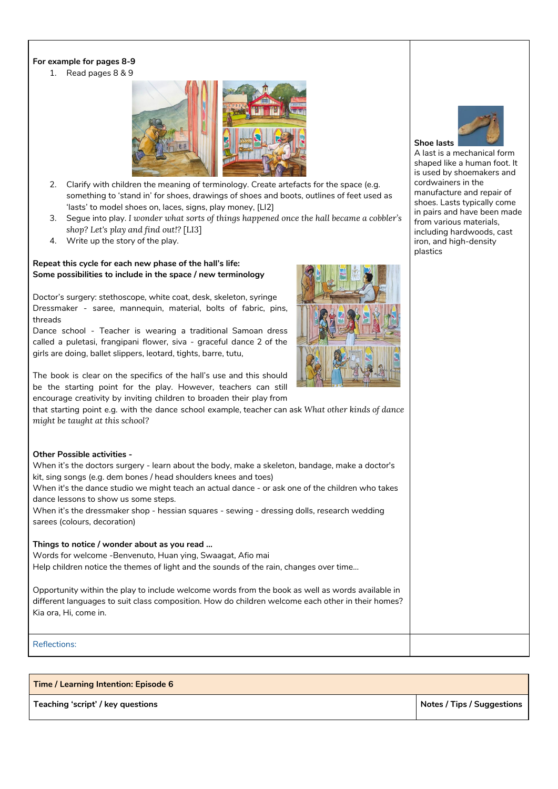### **For example for pages 8-9**

1. Read pages 8 & 9



- 2. Clarify with children the meaning of terminology. Create artefacts for the space (e.g. something to 'stand in' for shoes, drawings of shoes and boots, outlines of feet used as 'lasts' to model shoes on, laces, signs, play money, [LI2]
- 3. Segue into play. *I wonder what sorts of things happened once the hall became a cobbler's shop? Let's play and find out!?* [LI3]
- 4. Write up the story of the play.

#### **Repeat this cycle for each new phase of the hall's life: Some possibilities to include in the space / new terminology**

Doctor's surgery: stethoscope, white coat, desk, skeleton, syringe Dressmaker - saree, mannequin, material, bolts of fabric, pins, threads

Dance school - Teacher is wearing a traditional Samoan dress called a puletasi, frangipani flower, siva - graceful dance 2 of the girls are doing, ballet slippers, leotard, tights, barre, tutu,

The book is clear on the specifics of the hall's use and this should be the starting point for the play. However, teachers can still encourage creativity by inviting children to broaden their play from

that starting point e.g. with the dance school example, teacher can ask *What other kinds of dance might be taught at this school?*

## **Other Possible activities -** When it's the doctors surgery - learn about the body, make a skeleton, bandage, make a doctor's kit, sing songs (e.g. dem bones / head shoulders knees and toes) When it's the dance studio we might teach an actual dance - or ask one of the children who takes dance lessons to show us some steps. When it's the dressmaker shop - hessian squares - sewing - dressing dolls, research wedding sarees (colours, decoration) **Things to notice / wonder about as you read ...** Words for welcome -Benvenuto, Huan ying, Swaagat, Afio mai Help children notice the themes of light and the sounds of the rain, changes over time... Opportunity within the play to include welcome words from the book as well as words available in different languages to suit class composition. How do children welcome each other in their homes? Kia ora, Hi, come in.

Reflections:

### **Time / Learning Intention: Episode 6**

**Teaching 'script' / key questions Notes / Tips / Suggestions**





A last is a mechanical form shaped like a human foot. It is used by shoemakers and cordwainers in the manufacture and repair of shoes. Lasts typically come in pairs and have been made from various materials, including hardwoods, cast iron, and high-density plastics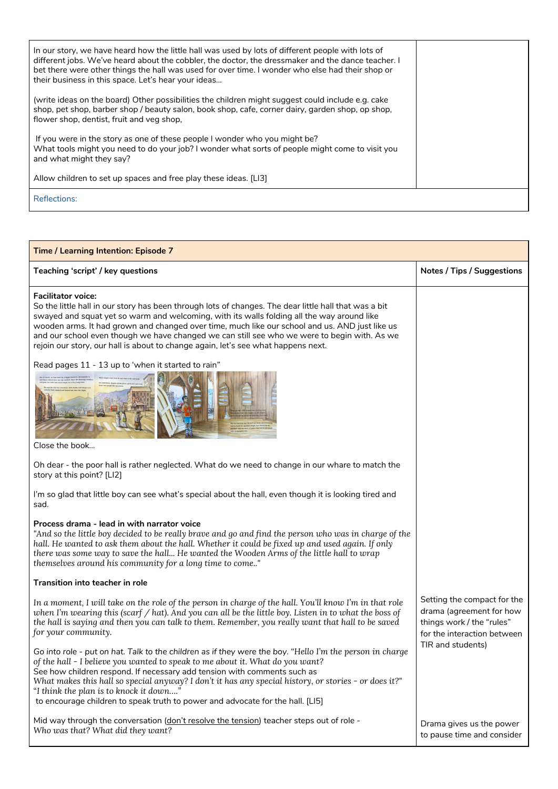| In our story, we have heard how the little hall was used by lots of different people with lots of<br>different jobs. We've heard about the cobbler, the doctor, the dressmaker and the dance teacher. I<br>bet there were other things the hall was used for over time. I wonder who else had their shop or<br>their business in this space. Let's hear your ideas |  |
|--------------------------------------------------------------------------------------------------------------------------------------------------------------------------------------------------------------------------------------------------------------------------------------------------------------------------------------------------------------------|--|
| (write ideas on the board) Other possibilities the children might suggest could include e.g. cake<br>shop, pet shop, barber shop / beauty salon, book shop, cafe, corner dairy, garden shop, op shop,<br>flower shop, dentist, fruit and yeg shop,                                                                                                                 |  |
| If you were in the story as one of these people I wonder who you might be?<br>What tools might you need to do your job? I wonder what sorts of people might come to visit you<br>and what might they say?                                                                                                                                                          |  |
| Allow children to set up spaces and free play these ideas. [LI3]                                                                                                                                                                                                                                                                                                   |  |
| <b>Reflections:</b>                                                                                                                                                                                                                                                                                                                                                |  |

### **Time / Learning Intention: Episode 7 Teaching 'script' / key questions Notes / Tips / Suggestions Facilitator voice:** So the little hall in our story has been through lots of changes. The dear little hall that was a bit swayed and squat yet so warm and welcoming, with its walls folding all the way around like wooden arms. It had grown and changed over time, much like our school and us. AND just like us and our school even though we have changed we can still see who we were to begin with. As we rejoin our story, our hall is about to change again, let's see what happens next. Read pages 11 - 13 up to 'when it started to rain" Close the book… Oh dear - the poor hall is rather neglected. What do we need to change in our whare to match the story at this point? [LI2] I'm so glad that little boy can see what's special about the hall, even though it is looking tired and sad. **Process drama - lead in with narrator voice** "And so the little boy decided to be really brave and go and find the person who was in charge of the hall. He wanted to ask them about the hall. Whether it could be fixed up and used again. If only *there was some way to save the hall... He wanted the Wooden Arms of the little hall to wrap themselves around his community for a long time to come.."* **Transition into teacher in role** In a moment, I will take on the role of the person in charge of the hall. You'll know I'm in that role when I'm wearing this (scarf / hat). And you can all be the little boy. Listen in to what the boss of the hall is saying and then you can talk to them. Remember, you really want that hall to be saved *for your community.* Go into role - put on hat. Talk to the children as if they were the boy. "Hello I'm the person in charge Setting the compact for the drama (agreement for how things work / the "rules" for the interaction between TIR and students)

*of the hall - I believe you wanted to speak to me about it. What do you want?* See how children respond. If necessary add tension with comments such as What makes this hall so special anyway? I don't it has any special history, or stories - or does it?" "*I think the plan is to knock it down…."* to encourage children to speak truth to power and advocate for the hall. [LI5]

Mid way through the conversation (don't resolve the tension) teacher steps out of role -*Who was that? What did they want?*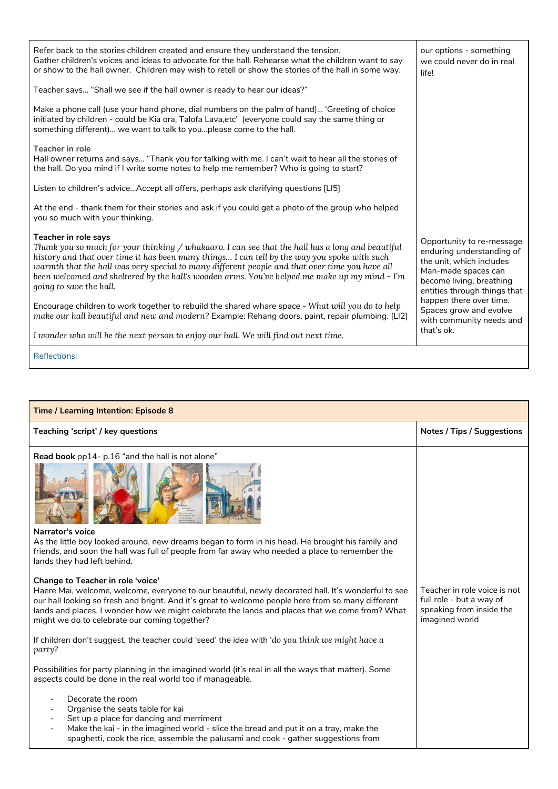| Refer back to the stories children created and ensure they understand the tension.<br>Gather children's voices and ideas to advocate for the hall. Rehearse what the children want to say<br>or show to the hall owner. Children may wish to retell or show the stories of the hall in some way.                                                                                                                                                       | our options - something<br>we could never do in real<br>life!                                                                                                         |
|--------------------------------------------------------------------------------------------------------------------------------------------------------------------------------------------------------------------------------------------------------------------------------------------------------------------------------------------------------------------------------------------------------------------------------------------------------|-----------------------------------------------------------------------------------------------------------------------------------------------------------------------|
| Teacher says "Shall we see if the hall owner is ready to hear our ideas?"                                                                                                                                                                                                                                                                                                                                                                              |                                                                                                                                                                       |
| Make a phone call (use your hand phone, dial numbers on the palm of hand) 'Greeting of choice<br>initiated by children - could be Kia ora, Talofa Lava,etc' (everyone could say the same thing or<br>something different) we want to talk to youplease come to the hall.                                                                                                                                                                               |                                                                                                                                                                       |
| Teacher in role<br>Hall owner returns and says "Thank you for talking with me. I can't wait to hear all the stories of<br>the hall. Do you mind if I write some notes to help me remember? Who is going to start?                                                                                                                                                                                                                                      |                                                                                                                                                                       |
| Listen to children's adviceAccept all offers, perhaps ask clarifying questions [LI5]                                                                                                                                                                                                                                                                                                                                                                   |                                                                                                                                                                       |
| At the end - thank them for their stories and ask if you could get a photo of the group who helped<br>you so much with your thinking.                                                                                                                                                                                                                                                                                                                  |                                                                                                                                                                       |
| Teacher in role says<br>Thank you so much for your thinking / whakaaro. I can see that the hall has a long and beautiful<br>history and that over time it has been many things I can tell by the way you spoke with such<br>warmth that the hall was very special to many different people and that over time you have all<br>been welcomed and sheltered by the hall's wooden arms. You've helped me make up my mind - I'm<br>going to save the hall. | Opportunity to re-message<br>enduring understanding of<br>the unit, which includes<br>Man-made spaces can<br>become living, breathing<br>entities through things that |
| Encourage children to work together to rebuild the shared whare space - What will you do to help<br>make our hall beautiful and new and modern? Example: Rehang doors, paint, repair plumbing. [LI2]                                                                                                                                                                                                                                                   | happen there over time.<br>Spaces grow and evolve<br>with community needs and                                                                                         |
| I wonder who will be the next person to enjoy our hall. We will find out next time.                                                                                                                                                                                                                                                                                                                                                                    | that's ok.                                                                                                                                                            |
| <b>Reflections:</b>                                                                                                                                                                                                                                                                                                                                                                                                                                    |                                                                                                                                                                       |

| <b>Time / Learning Intention: Episode 8</b>                                                                                                                                                                                                                                                                                                                                                                                                                                                                                                                                                                                                                                                                                                                                                                                                                                                                                                                                                                                                                                                                                                                                                                                 |                                                                                                        |  |  |
|-----------------------------------------------------------------------------------------------------------------------------------------------------------------------------------------------------------------------------------------------------------------------------------------------------------------------------------------------------------------------------------------------------------------------------------------------------------------------------------------------------------------------------------------------------------------------------------------------------------------------------------------------------------------------------------------------------------------------------------------------------------------------------------------------------------------------------------------------------------------------------------------------------------------------------------------------------------------------------------------------------------------------------------------------------------------------------------------------------------------------------------------------------------------------------------------------------------------------------|--------------------------------------------------------------------------------------------------------|--|--|
| Teaching 'script' / key questions                                                                                                                                                                                                                                                                                                                                                                                                                                                                                                                                                                                                                                                                                                                                                                                                                                                                                                                                                                                                                                                                                                                                                                                           | <b>Notes / Tips / Suggestions</b>                                                                      |  |  |
| Read book pp14- p.16 "and the hall is not alone"<br>Narrator's voice<br>As the little boy looked around, new dreams began to form in his head. He brought his family and<br>friends, and soon the hall was full of people from far away who needed a place to remember the<br>lands they had left behind.<br>Change to Teacher in role 'voice'<br>Haere Mai, welcome, welcome, everyone to our beautiful, newly decorated hall. It's wonderful to see<br>our hall looking so fresh and bright. And it's great to welcome people here from so many different<br>lands and places. I wonder how we might celebrate the lands and places that we come from? What<br>might we do to celebrate our coming together?<br>If children don't suggest, the teacher could 'seed' the idea with 'do you think we might have a<br>party?<br>Possibilities for party planning in the imagined world (it's real in all the ways that matter). Some<br>aspects could be done in the real world too if manageable.<br>Decorate the room<br>Organise the seats table for kai<br>$\overline{\phantom{a}}$<br>Set up a place for dancing and merriment<br>Make the kai - in the imagined world - slice the bread and put it on a tray, make the | Teacher in role voice is not<br>full role - but a way of<br>speaking from inside the<br>imagined world |  |  |
| spaghetti, cook the rice, assemble the palusami and cook - gather suggestions from                                                                                                                                                                                                                                                                                                                                                                                                                                                                                                                                                                                                                                                                                                                                                                                                                                                                                                                                                                                                                                                                                                                                          |                                                                                                        |  |  |